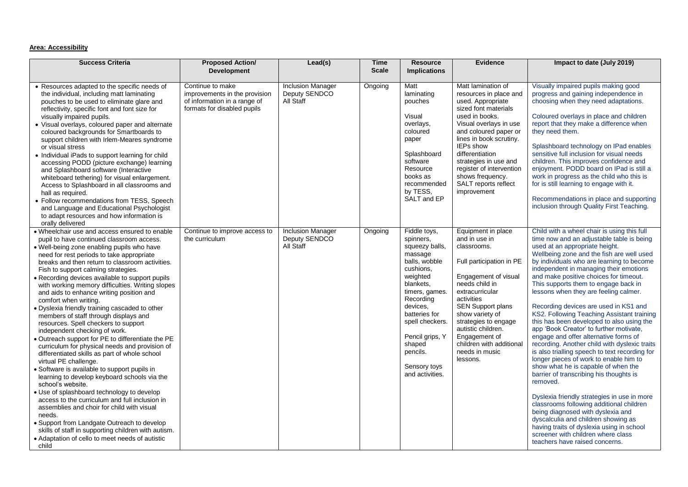## **Area: Accessibility**

| <b>Success Criteria</b>                                                                                                                                                                                                                                                                                                                                                                                                                                                                                                                                                                                                                                                                                                                                                                                                                                                                                                                                                                                                                                                                                                                                                                                                                                         | <b>Proposed Action/</b><br><b>Development</b>                                                                    | Lead(s)                                                | <b>Time</b><br><b>Scale</b> | <b>Resource</b><br><b>Implications</b>                                                                                                                                                                                                                                   | <b>Evidence</b>                                                                                                                                                                                                                                                                                                                           | Impact to date (July 2019)                                                                                                                                                                                                                                                                                                                                                                                                                                                                                                                                                                                                                                                                                                                                                                                                                                                                                                                                                                                                                                                                                                                               |
|-----------------------------------------------------------------------------------------------------------------------------------------------------------------------------------------------------------------------------------------------------------------------------------------------------------------------------------------------------------------------------------------------------------------------------------------------------------------------------------------------------------------------------------------------------------------------------------------------------------------------------------------------------------------------------------------------------------------------------------------------------------------------------------------------------------------------------------------------------------------------------------------------------------------------------------------------------------------------------------------------------------------------------------------------------------------------------------------------------------------------------------------------------------------------------------------------------------------------------------------------------------------|------------------------------------------------------------------------------------------------------------------|--------------------------------------------------------|-----------------------------|--------------------------------------------------------------------------------------------------------------------------------------------------------------------------------------------------------------------------------------------------------------------------|-------------------------------------------------------------------------------------------------------------------------------------------------------------------------------------------------------------------------------------------------------------------------------------------------------------------------------------------|----------------------------------------------------------------------------------------------------------------------------------------------------------------------------------------------------------------------------------------------------------------------------------------------------------------------------------------------------------------------------------------------------------------------------------------------------------------------------------------------------------------------------------------------------------------------------------------------------------------------------------------------------------------------------------------------------------------------------------------------------------------------------------------------------------------------------------------------------------------------------------------------------------------------------------------------------------------------------------------------------------------------------------------------------------------------------------------------------------------------------------------------------------|
| • Resources adapted to the specific needs of<br>the individual, including matt laminating<br>pouches to be used to eliminate glare and<br>reflectivity, specific font and font size for<br>visually impaired pupils.<br>• Visual overlays, coloured paper and alternate<br>coloured backgrounds for Smartboards to<br>support children with Irlem-Meares syndrome<br>or visual stress<br>• Individual iPads to support learning for child<br>accessing PODD (picture exchange) learning<br>and Splashboard software (Interactive<br>whiteboard tethering) for visual enlargement.<br>Access to Splashboard in all classrooms and<br>hall as required.<br>• Follow recommendations from TESS, Speech<br>and Language and Educational Psychologist<br>to adapt resources and how information is<br>orally delivered                                                                                                                                                                                                                                                                                                                                                                                                                                               | Continue to make<br>improvements in the provision<br>of information in a range of<br>formats for disabled pupils | <b>Inclusion Manager</b><br>Deputy SENDCO<br>All Staff | Ongoing                     | Matt<br>laminating<br>pouches<br>Visual<br>overlays,<br>coloured<br>paper<br>Splashboard<br>software<br>Resource<br>books as<br>recommended<br>by TESS,<br>SALT and EP                                                                                                   | Matt lamination of<br>resources in place and<br>used. Appropriate<br>sized font materials<br>used in books.<br>Visual overlays in use<br>and coloured paper or<br>lines in book scrutiny.<br>IEPs show<br>differentiation<br>strategies in use and<br>register of intervention<br>shows frequency.<br>SALT reports reflect<br>improvement | Visually impaired pupils making good<br>progress and gaining independence in<br>choosing when they need adaptations.<br>Coloured overlays in place and children<br>report that they make a difference when<br>they need them.<br>Splashboard technology on IPad enables<br>sensitive full inclusion for visual needs<br>children. This improves confidence and<br>enjoyment. PODD board on IPad is still a<br>work in progress as the child who this is<br>for is still learning to engage with it.<br>Recommendations in place and supporting<br>inclusion through Quality First Teaching.                                                                                                                                                                                                                                                                                                                                                                                                                                                                                                                                                              |
| • Wheelchair use and access ensured to enable<br>pupil to have continued classroom access.<br>. Well-being zone enabling pupils who have<br>need for rest periods to take appropriate<br>breaks and then return to classroom activities.<br>Fish to support calming strategies.<br>• Recording devices available to support pupils<br>with working memory difficulties. Writing slopes<br>and aids to enhance writing position and<br>comfort when writing.<br>· Dyslexia friendly training cascaded to other<br>members of staff through displays and<br>resources. Spell checkers to support<br>independent checking of work.<br>. Outreach support for PE to differentiate the PE<br>curriculum for physical needs and provision of<br>differentiated skills as part of whole school<br>virtual PE challenge.<br>• Software is available to support pupils in<br>learning to develop keyboard schools via the<br>school's website.<br>• Use of splashboard technology to develop<br>access to the curriculum and full inclusion in<br>assemblies and choir for child with visual<br>needs.<br>• Support from Landgate Outreach to develop<br>skills of staff in supporting children with autism.<br>• Adaptation of cello to meet needs of autistic<br>child | Continue to improve access to<br>the curriculum                                                                  | <b>Inclusion Manager</b><br>Deputy SENDCO<br>All Staff | Ongoing                     | Fiddle toys,<br>spinners,<br>squeezy balls,<br>massage<br>balls, wobble<br>cushions,<br>weighted<br>blankets.<br>timers, games.<br>Recording<br>devices.<br>batteries for<br>spell checkers.<br>Pencil grips, Y<br>shaped<br>pencils.<br>Sensory toys<br>and activities. | Equipment in place<br>and in use in<br>classrooms.<br>Full participation in PE<br>Engagement of visual<br>needs child in<br>extracurricular<br>activities<br><b>SEN Support plans</b><br>show variety of<br>strategies to engage<br>autistic children.<br>Engagement of<br>children with additional<br>needs in music<br>lessons.         | Child with a wheel chair is using this full<br>time now and an adjustable table is being<br>used at an appropriate height.<br>Wellbeing zone and the fish are well used<br>by individuals who are learning to become<br>independent in managing their emotions<br>and make positive choices for timeout.<br>This supports them to engage back in<br>lessons when they are feeling calmer.<br>Recording devices are used in KS1 and<br>KS2. Following Teaching Assistant training<br>this has been developed to also using the<br>app 'Book Creator' to further motivate,<br>engage and offer alternative forms of<br>recording. Another child with dyslexic traits<br>is also trialling speech to text recording for<br>longer pieces of work to enable him to<br>show what he is capable of when the<br>barrier of transcribing his thoughts is<br>removed.<br>Dyslexia friendly strategies in use in more<br>classrooms following additional children<br>being diagnosed with dyslexia and<br>dyscalculia and children showing as<br>having traits of dyslexia using in school<br>screener with children where class<br>teachers have raised concerns. |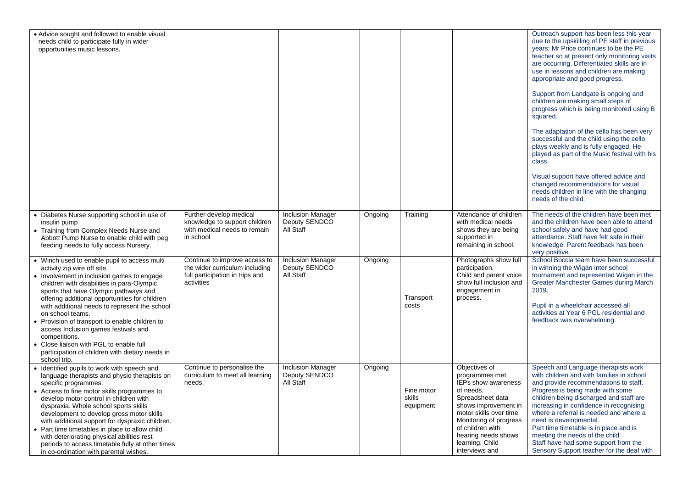| • Advice sought and followed to enable visual<br>needs child to participate fully in wider<br>opportunities music lessons.                                                                                                                                                                                                                                                                                                                                                                                                                                       |                                                                                                                  |                                                        |         |                                   |                                                                                                                                                                                                                                                       | Outreach support has been less this year<br>due to the upskilling of PE staff in previous<br>years: Mr Price continues to be the PE<br>teacher so at present only monitoring visits<br>are occurring. Differentiated skills are in<br>use in lessons and children are making<br>appropriate and good progress.<br>Support from Landgate is ongoing and<br>children are making small steps of<br>progress which is being monitored using B<br>squared.<br>The adaptation of the cello has been very<br>successful and the child using the cello<br>plays weekly and is fully engaged. He<br>played as part of the Music festival with his<br>class.<br>Visual support have offered advice and<br>changed recommendations for visual<br>needs children in line with the changing<br>needs of the child. |
|------------------------------------------------------------------------------------------------------------------------------------------------------------------------------------------------------------------------------------------------------------------------------------------------------------------------------------------------------------------------------------------------------------------------------------------------------------------------------------------------------------------------------------------------------------------|------------------------------------------------------------------------------------------------------------------|--------------------------------------------------------|---------|-----------------------------------|-------------------------------------------------------------------------------------------------------------------------------------------------------------------------------------------------------------------------------------------------------|-------------------------------------------------------------------------------------------------------------------------------------------------------------------------------------------------------------------------------------------------------------------------------------------------------------------------------------------------------------------------------------------------------------------------------------------------------------------------------------------------------------------------------------------------------------------------------------------------------------------------------------------------------------------------------------------------------------------------------------------------------------------------------------------------------|
| • Diabetes Nurse supporting school in use of<br>insulin pump<br>• Training from Complex Needs Nurse and<br>Abbott Pump Nurse to enable child with peg<br>feeding needs to fully access Nursery.                                                                                                                                                                                                                                                                                                                                                                  | Further develop medical<br>knowledge to support children<br>with medical needs to remain<br>in school            | <b>Inclusion Manager</b><br>Deputy SENDCO<br>All Staff | Ongoing | Training                          | Attendance of children<br>with medical needs<br>shows they are being<br>supported in<br>remaining in school.                                                                                                                                          | The needs of the children have been met<br>and the children have been able to attend<br>school safely and have had good<br>attendance. Staff have felt safe in their<br>knowledge. Parent feedback has been<br>very positive.                                                                                                                                                                                                                                                                                                                                                                                                                                                                                                                                                                         |
| • Winch used to enable pupil to access multi<br>activity zip wire off site.<br>• Involvement in inclusion games to engage<br>children with disabilities in para-Olympic<br>sports that have Olympic pathways and<br>offering additional opportunities for children<br>with additional needs to represent the school<br>on school teams.<br>• Provision of transport to enable children to<br>access Inclusion games festivals and<br>competitions.<br>• Close liaison with PGL to enable full<br>participation of children with dietary needs in<br>school trip. | Continue to improve access to<br>the wider curriculum including<br>full participation in trips and<br>activities | <b>Inclusion Manager</b><br>Deputy SENDCO<br>All Staff | Ongoing | Transport<br>costs                | Photographs show full<br>participation.<br>Child and parent voice<br>show full inclusion and<br>engagement in<br>process.                                                                                                                             | School Boccia team have been successful<br>in winning the Wigan inter school<br>tournament and represented Wigan in the<br>Greater Manchester Games during March<br>2019.<br>Pupil in a wheelchair accessed all<br>activities at Year 6 PGL residential and<br>feedback was overwhelming.                                                                                                                                                                                                                                                                                                                                                                                                                                                                                                             |
| • Identified pupils to work with speech and<br>language therapists and physio therapists on<br>specific programmes.<br>• Access to fine motor skills programmes to<br>develop motor control in children with<br>dyspraxia. Whole school sports skills<br>development to develop gross motor skills<br>with additional support for dyspraxic children.<br>• Part time timetables in place to allow child<br>with deteriorating physical abilities rest<br>periods to access timetable fully at other times<br>in co-ordination with parental wishes.              | Continue to personalise the<br>curriculum to meet all learning<br>needs.                                         | <b>Inclusion Manager</b><br>Deputy SENDCO<br>All Staff | Ongoing | Fine motor<br>skills<br>equipment | Objectives of<br>programmes met.<br>IEPs show awareness<br>of needs.<br>Spreadsheet data<br>shows improvement in<br>motor skills over time.<br>Monitoring of progress<br>of children with<br>hearing needs shows<br>learning. Child<br>interviews and | Speech and Language therapists work<br>with children and with families in school<br>and provide recommendations to staff.<br>Progress is being made with some<br>children being discharged and staff are<br>increasing in confidence in recognising<br>where a referral is needed and where a<br>need is developmental.<br>Part time timetable is in place and is<br>meeting the needs of the child.<br>Staff have had some support from the<br>Sensory Support teacher for the deaf with                                                                                                                                                                                                                                                                                                             |